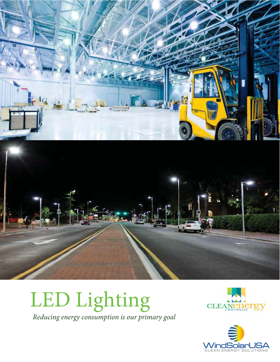







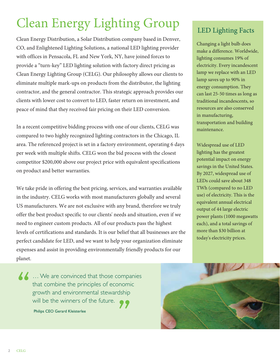### Clean Energy Lighting Group

Clean Energy Distribution, a Solar Distribution company based in Denver, CO, and Enlightened Lighting Solutions, a national LED lighting provider with offices in Pensacola, FL and New York, NY, have joined forces to provide a "turn-key" LED lighting solution with factory direct pricing as Clean Energy Lighting Group (CELG). Our philosophy allows our clients to eliminate multiple mark-ups on products from the distributor, the lighting contractor, and the general contractor. This strategic approach provides our clients with lower cost to convert to LED, faster return on investment, and peace of mind that they received fair pricing on their LED conversion.

In a recent competitive bidding process with one of our clients, CELG was compared to two highly recognized lighting contractors in the Chicago, IL area. The referenced project is set in a factory environment, operating 6 days per week with multiple shifts. CELG won the bid process with the closest competitor \$200,000 above our project price with equivalent specifications on product and better warranties.

We take pride in offering the best pricing, services, and warranties available in the industry. CELG works with most manufacturers globally and several US manufacturers. We are not exclusive with any brand, therefore we truly offer the best product specific to our clients' needs and situation, even if we need to engineer custom products. All of our products pass the highest levels of certifications and standards. It is our belief that all businesses are the perfect candidate for LED, and we want to help your organization eliminate expenses and assist in providing environmentally friendly products for our planet. We take<br>in the<br>US ma

**A A** ... We are convinced that those companies that combine the principles of economic growth and environmental stewardship that combine the principles of economi<br>growth and environmental stewardship<br>will be the winners of the future. Philips CEO Gerard Kleisterlee

### LED Lighting Facts

Changing a light bulb does make a difference. Worldwide, lighting consumes 19% of electricity. Every incandescent lamp we replace with an LED lamp saves up to 90% in energy consumption. They can last 25-50 times as long as traditional incandescents, so resources are also conserved in manufacturing, transportation and building maintenance.

Widespread use of LED lighting has the greatest potential impact on energy savings in the United States. By 2027, widespread use of LEDs could save about 348 TWh (compared to no LED use) of electricity. This is the equivalent annual electrical output of 44 large electric power plants (1000 megawatts each), and a total savings of more than \$30 billion at today's electricity prices.

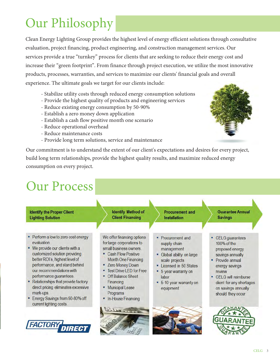## **Our Philosophy**

Clean Energy Lighting Group provides the highest level of energy efficient solutions through consultative evaluation, project financing, product engineering, and construction management services. Our services provide a true "turnkey" process for clients that are seeking to reduce their energy cost and increase their "green footprint". From finance through project execution, we utilize the most innovative products, processes, warranties, and services to maximize our clients' financial goals and overall experience. The ultimate goals we target for our clients include:

- Stabilize utility costs through reduced energy consumption solutions
- Provide the highest quality of products and engineering services
- Reduce existing energy consumption by 50-90%
- Establish a zero money down application
- Establish a cash flow positive month one scenario
- Reduce operational overhead
- Reduce maintenance costs
- Provide long term solutions, service and maintenance

Our commitment is to understand the extent of our client's expectations and desires for every project, build long term relationships, provide the highest quality results, and maximize reduced energy consumption on every project.

### **Our Process**



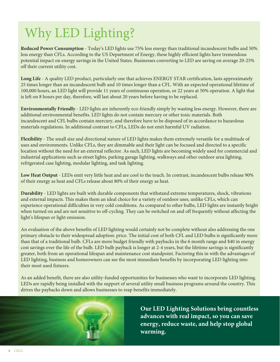### Why LED Lighting?

Reduced Power Consumption - Today's LED lights use 75% less energy than traditional incandescent bulbs and 50% less energy than CFLs. According to the US Department of Energy, these highly efficient lights have tremendous potential impact on energy savings in the United States. Businesses converting to LED are saving on average 20-25% off their current utility cost.

Long Life - A quality LED product, particularly one that achieves ENERGY STAR certification, lasts approximately 25 times longer than an incandescent bulb and 10 times longer than a CFL. With an expected operational lifetime of 100,000 hours, an LED light will provide 11 years of continuous operation, or 22 years at 50% operation. A light that is left on 8 hours per day, therefore, will last about 20 years before having to be replaced.

**Environmentally Friendly - LED lights are inherently eco-friendly simply by wasting less energy. However, there are** additional environmental benefits. LED lights do not contain mercury or other toxic materials. Both incandescent and CFL bulbs contain mercury, and therefore have to be disposed of in accordance to hazardous materials regulations. In additional contrast to CFLs, LEDs do not emit harmful UV radiation.

Flexibility - The small size and directional nature of LED lights makes them extremely versatile for a multitude of uses and environments. Unlike CFLs, they are dimmable and their light can be focused and directed to a specific location without the need for an external reflector. As such, LED lights are becoming widely used for commercial and industrial applications such as street lights, parking garage lighting, walkways and other outdoor area lighting, refrigerated case lighting, modular lighting, and task lighting.

Low Heat Output - LEDs emit very little heat and are cool to the touch. In contrast, incandescent bulbs release 90% of their energy as heat and CFLs release about 80% of their energy as heat.

Durability - LED lights are built with durable components that withstand extreme temperatures, shock, vibrations and external impacts. This makes them an ideal choice for a variety of outdoor uses, unlike CFLs, which can experience operational difficulties in very cold conditions. As compared to other bulbs, LED lights are instantly bright when turned on and are not sensitive to off-cycling. They can be switched on and off frequently without affecting the light's lifespan or light emission.

An evaluation of the above benefits of LED lighting would certainly not be complete without also addressing the one primary obstacle to their widespread adoption: price. The initial cost of both CFL and LED bulbs is significantly more than that of a traditional bulb. CFLs are more budget friendly with paybacks in the 6 month range and \$40 in energy cost savings over the life of the bulb. LED bulb payback is longer at 2-4 years, but the lifetime savings is significantly greater, both from an operational lifespan and maintenance cost standpoint. Factoring this in with the advantages of LED lighting, business and homeowners can see the most immediate benefits by incorporating LED lighting into their most used fixtures.

As an added benefit, there are also utility-funded opportunities for businesses who want to incorporate LED lighting. LEDs are rapidly being installed with the support of several utility small business programs around the country. This drives the paybacks down and allows businesses to reap benefits immediately.



Our LED Lighting Solutions bring countless advances with real impact, so you can save energy, reduce waste, and help stop global warming.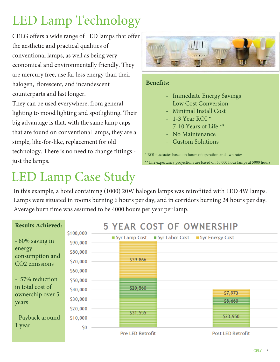### **LED Lamp Technology**

CELG offers a wide range of LED lamps that offer the aesthetic and practical qualities of conventional lamps, as well as being very economical and environmentally friendly. They are mercury free, use far less energy than their halogen, florescent, and incandescent counterparts and last longer.

They can be used everywhere, from general lighting to mood lighting and spotlighting. Their big advantage is that, with the same lamp caps that are found on conventional lamps, they are a simple, like-for-like, replacement for old technology. There is no need to change fittings just the lamps.

### **LED Lamp Case Study**



#### **Benefits:**

- Immediate Energy Savings
- Low Cost Conversion
- **Minimal Install Cost**
- $-1-3$  Year ROI<sup>\*</sup>
- 7-10 Years of Life  $**$
- No Maintenance
- **Custom Solutions**

\* ROI fluctuates based on hours of operation and kwh rates \*\* Life expectancy projections are based on 50,000 hour lamps at 5000 hours

In this example, a hotel containing (1000) 20W halogen lamps was retrofitted with LED 4W lamps. Lamps were situated in rooms burning 6 hours per day, and in corridors burning 24 hours per day. Average burn time was assumed to be 4000 hours per year per lamp.

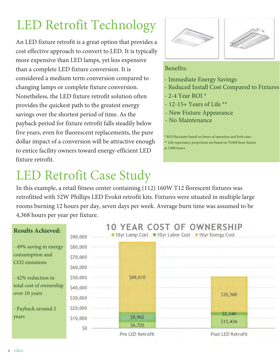### **LED Retrofit Technology**

An LED fixture retrofit is a great option that provides a cost effective approach to convert to LED. It is typically more expensive than LED lamps, yet less expensive than a complete LED fixture conversion. It is considered a medium term conversion compared to changing lamps or complete fixture conversion. Nonetheless, the LED fixture retrofit solution often provides the quickest path to the greatest energy savings over the shortest period of time. As the payback period for fixture retrofit falls steadily below five years, even for fluorescent replacements, the pure dollar impact of a conversion will be attractive enough to entice facility owners toward energy-efficient LED fixture retrofit.

### **LED Retrofit Case Study**





#### Benefits:

- Immediate Energy Savings
- Reduced Install Cost Compared to Fixtures
- 2-4 Year ROI $*$
- 12-15+ Years of Life \*\*
- New Fixture Appearance
- No Maintenance

ROI fluctuates based on hours of operation and kwh rates

\*\* Life expectancy projections are based on 70,000 hour fixture at  $5,000$  hours

In this example, a retail fitness center containing (112) 160W T12 florescent fixtures was retrofitted with 52W Phillips LED Evokit retrofit kits. Fixtures were situated in multiple large rooms burning 12 hours per day, seven days per week. Average burn time was assumed to be 4,368 hours per year per fixture.

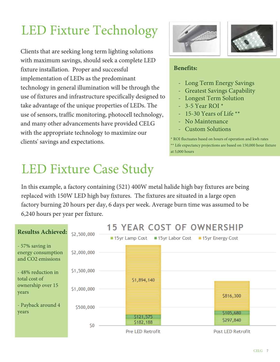## LED Fixture Technology

Clients that are seeking long term lighting solutions with maximum savings, should seek a complete LED fixture installation. Proper and successful implementation of LEDs as the predominant technology in general illumination will be through the use of fixtures and infrastructure specifically designed to take advantage of the unique properties of LEDs. The use of sensors, traffic monitoring, photocell technology, and many other advancements have provided CELG with the appropriate technology to maximize our clients' savings and expectations.



In this example, a factory containing (521) 400W metal halide high bay fixtures are being replaced with 150W LED high bay fixtures. The fixtures are situated in a large open factory burning 20 hours per day, 6 days per week. Average burn time was assumed to be 6,240 hours per year per fixture.







#### **Benefits:**

- Long Term Energy Savings
- Greatest Savings Capability
- Longest Term Solution
- $-3$ -5 Year ROI $*$
- 15-30 Years of Life  $**$
- No Maintenance
- Custom Solutions

\* ROI fluctuates based on hours of operation and kwh rates \*\* Life expectancy projections are based on 150,000 hour fixture at 5,000 hours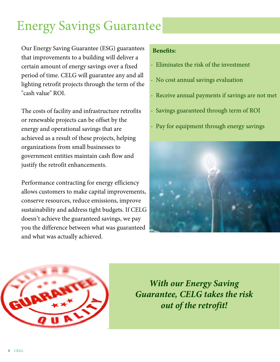### Energy Savings Guarantee

Our Energy Saving Guarantee (ESG) guarantees that improvements to a building will deliver a certain amount of energy savings over a fixed period of time. CELG will guarantee any and all lighting retrofit projects through the term of the "cash value" ROI.

The costs of facility and infrastructure retrofits or renewable projects can be offset by the energy and operational savings that are achieved as a result of these projects, helping organizations from small businesses to government entities maintain cash flow and justify the retrofit enhancements.

Performance contracting for energy efficiency allows customers to make capital improvements, conserve resources, reduce emissions, improve sustainability and address tight budgets. If CELG doesn't achieve the guaranteed savings, we pay you the difference between what was guaranteed and what was actually achieved.

#### **Benefits:**

- Eliminates the risk of the investment
- No cost annual savings evaluation
- Receive annual payments if savings are not met
- Savings guaranteed through term of ROI
- Pay for equipment through energy savings





*With our Energy Saving Guarantee, CELG takes the risk out of the retrofit!*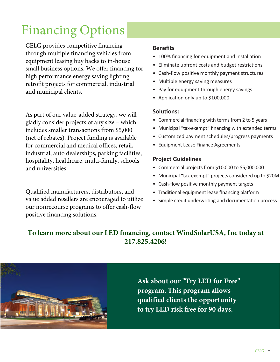CELG provides competitive financing through multiple financing vehicles from equipment leasing buy backs to in-house small business options. We offer financing for high performance energy saving lighting retrofit projects for commercial, industrial and municipal clients.

As part of our value-added strategy, we will gladly consider projects of any size – which includes smaller transactions from \$5,000 (net of rebates). Project funding is available for commercial and medical offices, retail, industrial, auto dealerships, parking facilities, hospitality, healthcare, multi-family, schools and universities.

Qualified manufacturers, distributors, and value added resellers are encouraged to utilize our nonrecourse programs to offer cash-flow positive financing solutions.

#### **Benefits**

- 100% financing for equipment and installation
- Eliminate upfront costs and budget restrictions
- Cash-flow positive monthly payment structures
- Multiple energy saving measures
- Pay for equipment through energy savings
- Application only up to \$100,000

#### **Solutions:**

- Commercial financing with terms from 2 to 5 years
- Municipal "tax-exempt" financing with extended terms
- Customized payment schedules/progress payments
- Equipment Lease Finance Agreements

#### **Project Guidelines**

- Commercial projects from \$10,000 to \$5,000,000
- Municipal "tax-exempt" projects considered up to \$20M
- Cash-flow positive monthly payment targets
- Traditional equipment lease financing platform
- Simple credit underwriting and documentation process

### **To learn more about our LED financing, contact WindSolarUSA, Inc today at 217.825.4206!**



**Ask about our "Try LED for Free" program. This program allows qualified clients the opportunity to try LED risk free for 90 days.**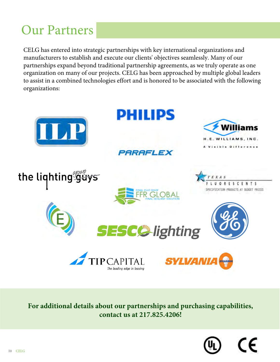# Our Partners<br>Partners

CELG has entered into strategic partnerships with key international organizations and manufacturers to establish and execute our clients' objectives seamlessly. Many of our partnerships expand beyond traditional partnership agreements, as we truly operate as one organization on many of our projects. CELG has been approached by multiple global leaders to assist in a combined technologies effort and is honored to be associated with the following organizations:



**For additional details about our partnerships and purchasing capabilities, contact us at 217.825.4206!**

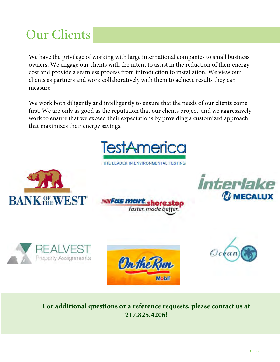### Our Clients

We have the privilege of working with large international companies to small business owners. We engage our clients with the intent to assist in the reduction of their energy cost and provide a seamless process from introduction to installation. We view our clients as partners and work collaboratively with them to achieve results they can measure.

We work both diligently and intelligently to ensure that the needs of our clients come first. We are only as good as the reputation that our clients project, and we aggressively work to ensure that we exceed their expectations by providing a customized approach that maximizes their energy savings.



THE LEADER IN ENVIRONMENTAL TESTING













#### **For additional questions or a reference requests, please contact us at 217.825.4206!**